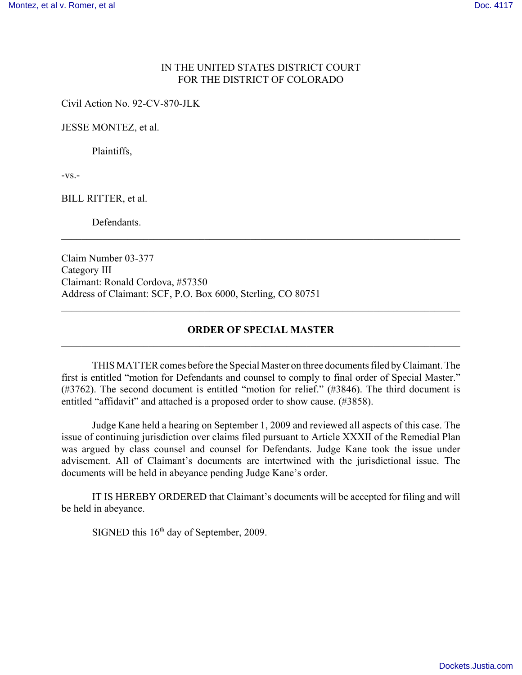## IN THE UNITED STATES DISTRICT COURT FOR THE DISTRICT OF COLORADO

Civil Action No. 92-CV-870-JLK

JESSE MONTEZ, et al.

Plaintiffs,

 $-VS$ . $-$ 

BILL RITTER, et al.

**Defendants** 

Claim Number 03-377 Category III Claimant: Ronald Cordova, #57350 Address of Claimant: SCF, P.O. Box 6000, Sterling, CO 80751

## **ORDER OF SPECIAL MASTER**  $\mathcal{L}_\mathcal{L} = \{ \mathcal{L}_\mathcal{L} = \{ \mathcal{L}_\mathcal{L} = \{ \mathcal{L}_\mathcal{L} = \{ \mathcal{L}_\mathcal{L} = \{ \mathcal{L}_\mathcal{L} = \{ \mathcal{L}_\mathcal{L} = \{ \mathcal{L}_\mathcal{L} = \{ \mathcal{L}_\mathcal{L} = \{ \mathcal{L}_\mathcal{L} = \{ \mathcal{L}_\mathcal{L} = \{ \mathcal{L}_\mathcal{L} = \{ \mathcal{L}_\mathcal{L} = \{ \mathcal{L}_\mathcal{L} = \{ \mathcal{L}_\mathcal{$

 $\mathcal{L}_\mathcal{L} = \{ \mathcal{L}_\mathcal{L} = \{ \mathcal{L}_\mathcal{L} = \{ \mathcal{L}_\mathcal{L} = \{ \mathcal{L}_\mathcal{L} = \{ \mathcal{L}_\mathcal{L} = \{ \mathcal{L}_\mathcal{L} = \{ \mathcal{L}_\mathcal{L} = \{ \mathcal{L}_\mathcal{L} = \{ \mathcal{L}_\mathcal{L} = \{ \mathcal{L}_\mathcal{L} = \{ \mathcal{L}_\mathcal{L} = \{ \mathcal{L}_\mathcal{L} = \{ \mathcal{L}_\mathcal{L} = \{ \mathcal{L}_\mathcal{$ 

 $\mathcal{L}_\mathcal{L} = \{ \mathcal{L}_\mathcal{L} = \{ \mathcal{L}_\mathcal{L} = \{ \mathcal{L}_\mathcal{L} = \{ \mathcal{L}_\mathcal{L} = \{ \mathcal{L}_\mathcal{L} = \{ \mathcal{L}_\mathcal{L} = \{ \mathcal{L}_\mathcal{L} = \{ \mathcal{L}_\mathcal{L} = \{ \mathcal{L}_\mathcal{L} = \{ \mathcal{L}_\mathcal{L} = \{ \mathcal{L}_\mathcal{L} = \{ \mathcal{L}_\mathcal{L} = \{ \mathcal{L}_\mathcal{L} = \{ \mathcal{L}_\mathcal{$ 

THIS MATTER comes before the Special Master on three documents filed by Claimant. The first is entitled "motion for Defendants and counsel to comply to final order of Special Master." (#3762). The second document is entitled "motion for relief." (#3846). The third document is entitled "affidavit" and attached is a proposed order to show cause. (#3858).

Judge Kane held a hearing on September 1, 2009 and reviewed all aspects of this case. The issue of continuing jurisdiction over claims filed pursuant to Article XXXII of the Remedial Plan was argued by class counsel and counsel for Defendants. Judge Kane took the issue under advisement. All of Claimant's documents are intertwined with the jurisdictional issue. The documents will be held in abeyance pending Judge Kane's order.

IT IS HEREBY ORDERED that Claimant's documents will be accepted for filing and will be held in abeyance.

SIGNED this  $16<sup>th</sup>$  day of September, 2009.